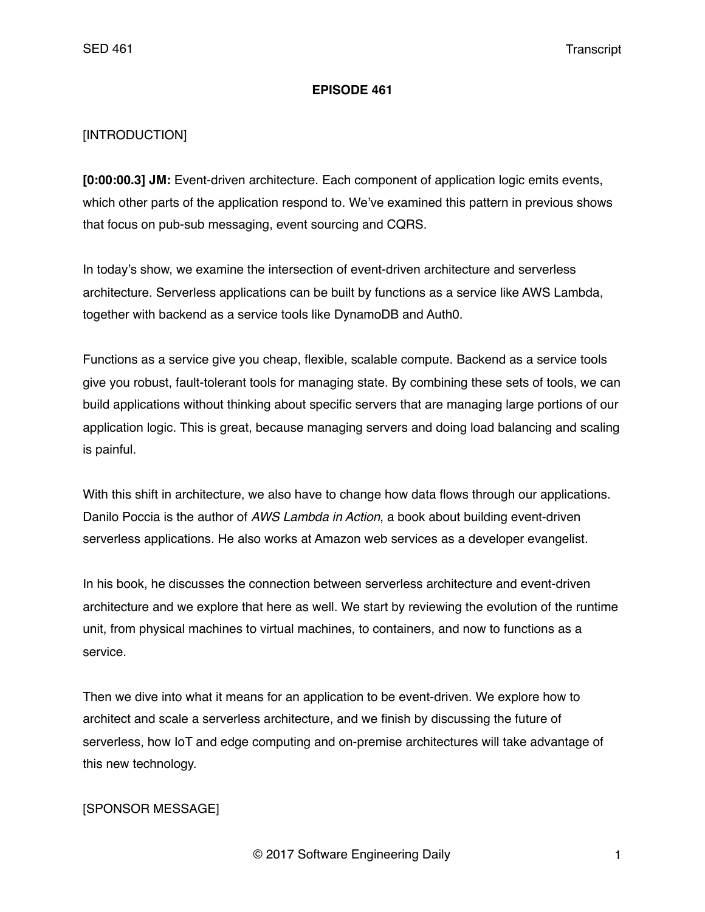#### **EPISODE 461**

### [INTRODUCTION]

**[0:00:00.3] JM:** Event-driven architecture. Each component of application logic emits events, which other parts of the application respond to. We've examined this pattern in previous shows that focus on pub-sub messaging, event sourcing and CQRS.

In today's show, we examine the intersection of event-driven architecture and serverless architecture. Serverless applications can be built by functions as a service like AWS Lambda, together with backend as a service tools like DynamoDB and Auth0.

Functions as a service give you cheap, flexible, scalable compute. Backend as a service tools give you robust, fault-tolerant tools for managing state. By combining these sets of tools, we can build applications without thinking about specific servers that are managing large portions of our application logic. This is great, because managing servers and doing load balancing and scaling is painful.

With this shift in architecture, we also have to change how data flows through our applications. Danilo Poccia is the author of *AWS Lambda in Action*, a book about building event-driven serverless applications. He also works at Amazon web services as a developer evangelist.

In his book, he discusses the connection between serverless architecture and event-driven architecture and we explore that here as well. We start by reviewing the evolution of the runtime unit, from physical machines to virtual machines, to containers, and now to functions as a service.

Then we dive into what it means for an application to be event-driven. We explore how to architect and scale a serverless architecture, and we finish by discussing the future of serverless, how IoT and edge computing and on-premise architectures will take advantage of this new technology.

### [SPONSOR MESSAGE]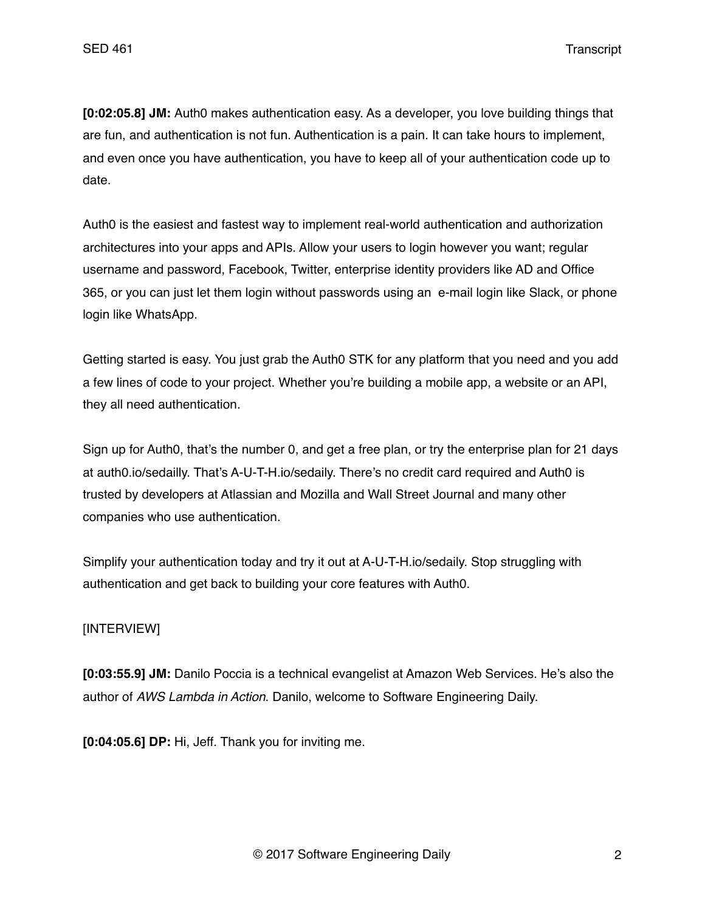**[0:02:05.8] JM:** Auth0 makes authentication easy. As a developer, you love building things that are fun, and authentication is not fun. Authentication is a pain. It can take hours to implement, and even once you have authentication, you have to keep all of your authentication code up to date.

Auth0 is the easiest and fastest way to implement real-world authentication and authorization architectures into your apps and APIs. Allow your users to login however you want; regular username and password, Facebook, Twitter, enterprise identity providers like AD and Office 365, or you can just let them login without passwords using an e-mail login like Slack, or phone login like WhatsApp.

Getting started is easy. You just grab the Auth0 STK for any platform that you need and you add a few lines of code to your project. Whether you're building a mobile app, a website or an API, they all need authentication.

Sign up for Auth0, that's the number 0, and get a free plan, or try the enterprise plan for 21 days at auth0.io/sedailly. That's A-U-T-H.io/sedaily. There's no credit card required and Auth0 is trusted by developers at Atlassian and Mozilla and Wall Street Journal and many other companies who use authentication.

Simplify your authentication today and try it out at A-U-T-H.io/sedaily. Stop struggling with authentication and get back to building your core features with Auth0.

## [INTERVIEW]

**[0:03:55.9] JM:** Danilo Poccia is a technical evangelist at Amazon Web Services. He's also the author of *AWS Lambda in Action*. Danilo, welcome to Software Engineering Daily.

**[0:04:05.6] DP:** Hi, Jeff. Thank you for inviting me.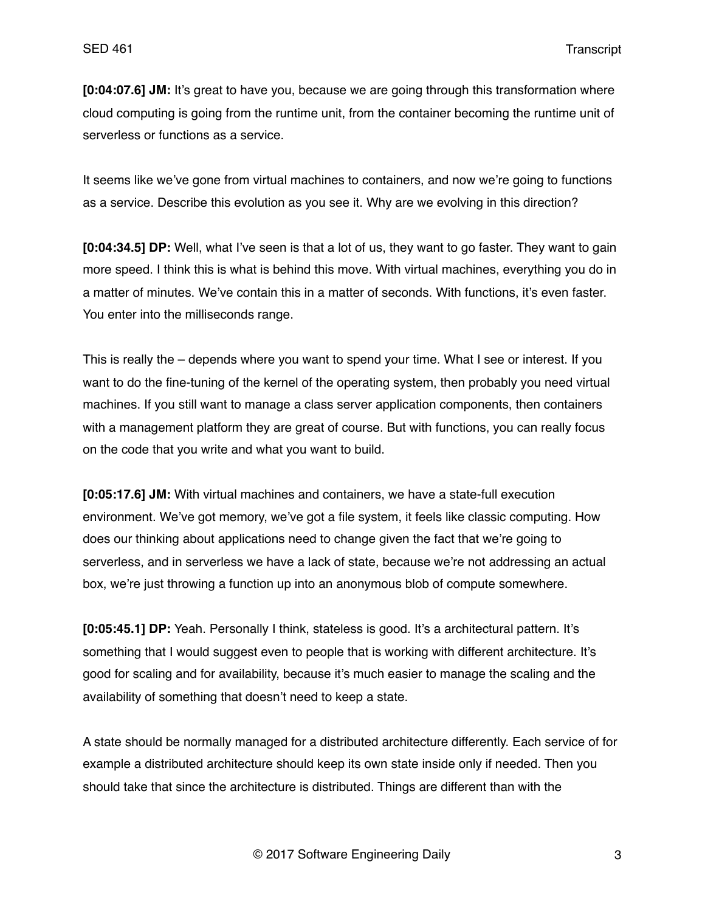**[0:04:07.6] JM:** It's great to have you, because we are going through this transformation where cloud computing is going from the runtime unit, from the container becoming the runtime unit of serverless or functions as a service.

It seems like we've gone from virtual machines to containers, and now we're going to functions as a service. Describe this evolution as you see it. Why are we evolving in this direction?

**[0:04:34.5] DP:** Well, what I've seen is that a lot of us, they want to go faster. They want to gain more speed. I think this is what is behind this move. With virtual machines, everything you do in a matter of minutes. We've contain this in a matter of seconds. With functions, it's even faster. You enter into the milliseconds range.

This is really the – depends where you want to spend your time. What I see or interest. If you want to do the fine-tuning of the kernel of the operating system, then probably you need virtual machines. If you still want to manage a class server application components, then containers with a management platform they are great of course. But with functions, you can really focus on the code that you write and what you want to build.

**[0:05:17.6] JM:** With virtual machines and containers, we have a state-full execution environment. We've got memory, we've got a file system, it feels like classic computing. How does our thinking about applications need to change given the fact that we're going to serverless, and in serverless we have a lack of state, because we're not addressing an actual box, we're just throwing a function up into an anonymous blob of compute somewhere.

**[0:05:45.1] DP:** Yeah. Personally I think, stateless is good. It's a architectural pattern. It's something that I would suggest even to people that is working with different architecture. It's good for scaling and for availability, because it's much easier to manage the scaling and the availability of something that doesn't need to keep a state.

A state should be normally managed for a distributed architecture differently. Each service of for example a distributed architecture should keep its own state inside only if needed. Then you should take that since the architecture is distributed. Things are different than with the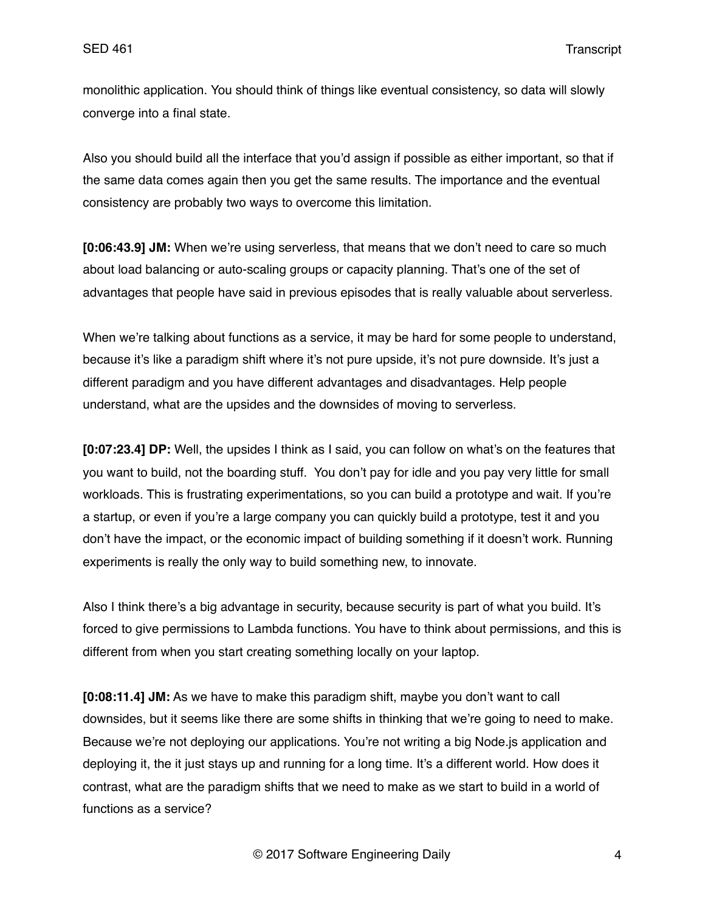monolithic application. You should think of things like eventual consistency, so data will slowly converge into a final state.

Also you should build all the interface that you'd assign if possible as either important, so that if the same data comes again then you get the same results. The importance and the eventual consistency are probably two ways to overcome this limitation.

**[0:06:43.9] JM:** When we're using serverless, that means that we don't need to care so much about load balancing or auto-scaling groups or capacity planning. That's one of the set of advantages that people have said in previous episodes that is really valuable about serverless.

When we're talking about functions as a service, it may be hard for some people to understand, because it's like a paradigm shift where it's not pure upside, it's not pure downside. It's just a different paradigm and you have different advantages and disadvantages. Help people understand, what are the upsides and the downsides of moving to serverless.

**[0:07:23.4] DP:** Well, the upsides I think as I said, you can follow on what's on the features that you want to build, not the boarding stuff. You don't pay for idle and you pay very little for small workloads. This is frustrating experimentations, so you can build a prototype and wait. If you're a startup, or even if you're a large company you can quickly build a prototype, test it and you don't have the impact, or the economic impact of building something if it doesn't work. Running experiments is really the only way to build something new, to innovate.

Also I think there's a big advantage in security, because security is part of what you build. It's forced to give permissions to Lambda functions. You have to think about permissions, and this is different from when you start creating something locally on your laptop.

**[0:08:11.4] JM:** As we have to make this paradigm shift, maybe you don't want to call downsides, but it seems like there are some shifts in thinking that we're going to need to make. Because we're not deploying our applications. You're not writing a big Node.js application and deploying it, the it just stays up and running for a long time. It's a different world. How does it contrast, what are the paradigm shifts that we need to make as we start to build in a world of functions as a service?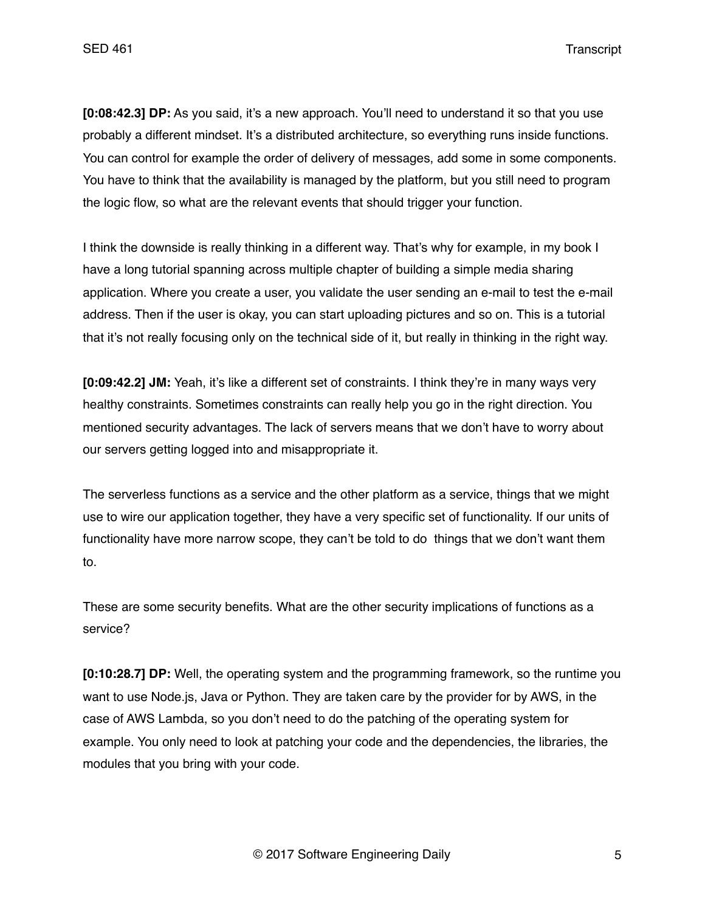**[0:08:42.3] DP:** As you said, it's a new approach. You'll need to understand it so that you use probably a different mindset. It's a distributed architecture, so everything runs inside functions. You can control for example the order of delivery of messages, add some in some components. You have to think that the availability is managed by the platform, but you still need to program the logic flow, so what are the relevant events that should trigger your function.

I think the downside is really thinking in a different way. That's why for example, in my book I have a long tutorial spanning across multiple chapter of building a simple media sharing application. Where you create a user, you validate the user sending an e-mail to test the e-mail address. Then if the user is okay, you can start uploading pictures and so on. This is a tutorial that it's not really focusing only on the technical side of it, but really in thinking in the right way.

**[0:09:42.2] JM:** Yeah, it's like a different set of constraints. I think they're in many ways very healthy constraints. Sometimes constraints can really help you go in the right direction. You mentioned security advantages. The lack of servers means that we don't have to worry about our servers getting logged into and misappropriate it.

The serverless functions as a service and the other platform as a service, things that we might use to wire our application together, they have a very specific set of functionality. If our units of functionality have more narrow scope, they can't be told to do things that we don't want them to.

These are some security benefits. What are the other security implications of functions as a service?

**[0:10:28.7] DP:** Well, the operating system and the programming framework, so the runtime you want to use Node.js, Java or Python. They are taken care by the provider for by AWS, in the case of AWS Lambda, so you don't need to do the patching of the operating system for example. You only need to look at patching your code and the dependencies, the libraries, the modules that you bring with your code.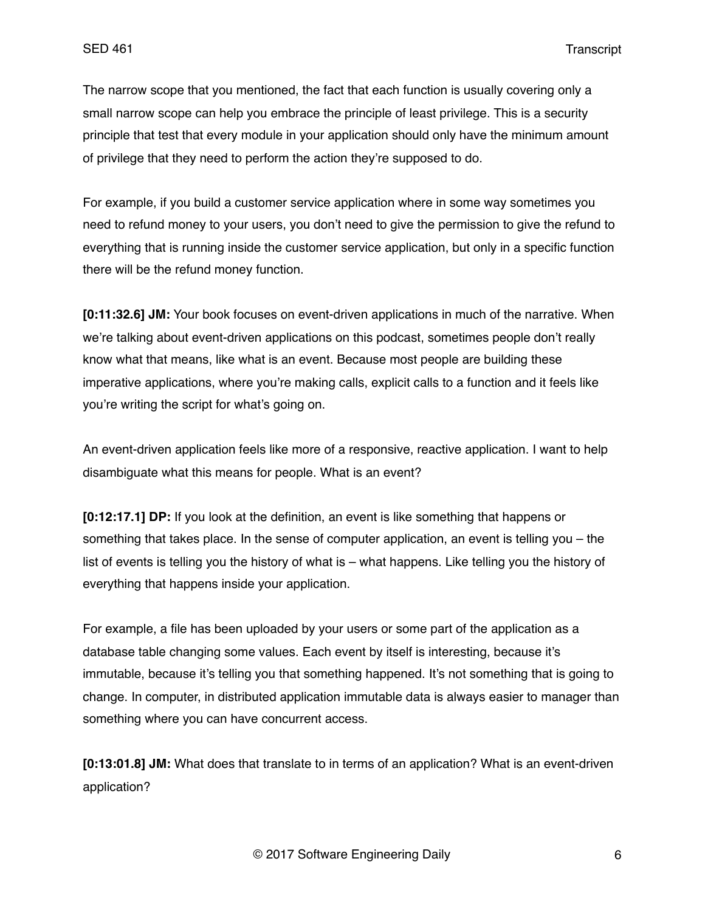The narrow scope that you mentioned, the fact that each function is usually covering only a small narrow scope can help you embrace the principle of least privilege. This is a security principle that test that every module in your application should only have the minimum amount of privilege that they need to perform the action they're supposed to do.

For example, if you build a customer service application where in some way sometimes you need to refund money to your users, you don't need to give the permission to give the refund to everything that is running inside the customer service application, but only in a specific function there will be the refund money function.

**[0:11:32.6] JM:** Your book focuses on event-driven applications in much of the narrative. When we're talking about event-driven applications on this podcast, sometimes people don't really know what that means, like what is an event. Because most people are building these imperative applications, where you're making calls, explicit calls to a function and it feels like you're writing the script for what's going on.

An event-driven application feels like more of a responsive, reactive application. I want to help disambiguate what this means for people. What is an event?

**[0:12:17.1] DP:** If you look at the definition, an event is like something that happens or something that takes place. In the sense of computer application, an event is telling you – the list of events is telling you the history of what is – what happens. Like telling you the history of everything that happens inside your application.

For example, a file has been uploaded by your users or some part of the application as a database table changing some values. Each event by itself is interesting, because it's immutable, because it's telling you that something happened. It's not something that is going to change. In computer, in distributed application immutable data is always easier to manager than something where you can have concurrent access.

**[0:13:01.8] JM:** What does that translate to in terms of an application? What is an event-driven application?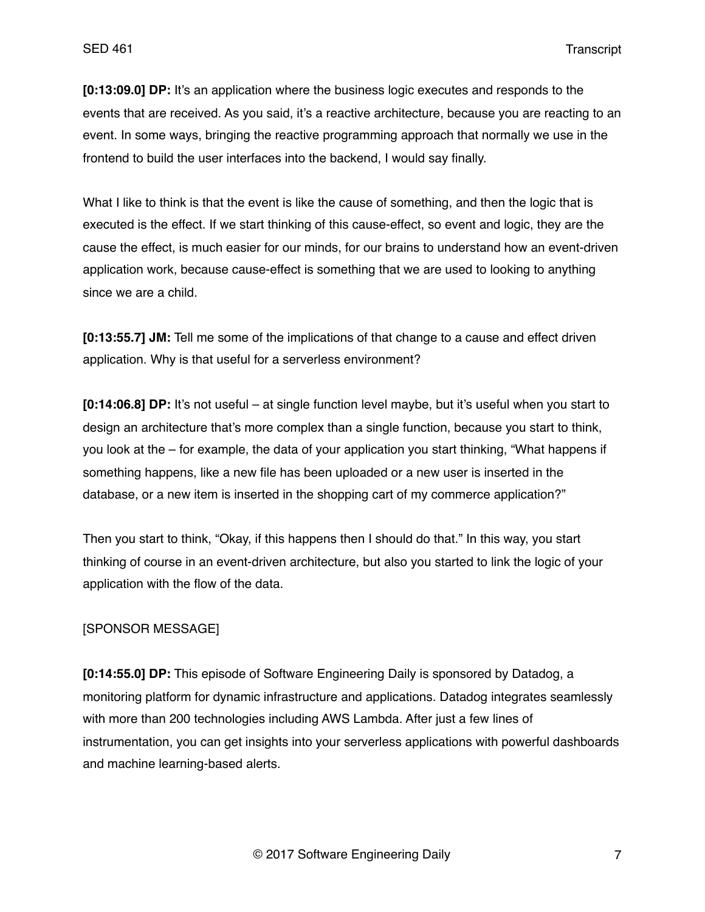**[0:13:09.0] DP:** It's an application where the business logic executes and responds to the events that are received. As you said, it's a reactive architecture, because you are reacting to an event. In some ways, bringing the reactive programming approach that normally we use in the frontend to build the user interfaces into the backend, I would say finally.

What I like to think is that the event is like the cause of something, and then the logic that is executed is the effect. If we start thinking of this cause-effect, so event and logic, they are the cause the effect, is much easier for our minds, for our brains to understand how an event-driven application work, because cause-effect is something that we are used to looking to anything since we are a child.

**[0:13:55.7] JM:** Tell me some of the implications of that change to a cause and effect driven application. Why is that useful for a serverless environment?

**[0:14:06.8] DP:** It's not useful – at single function level maybe, but it's useful when you start to design an architecture that's more complex than a single function, because you start to think, you look at the – for example, the data of your application you start thinking, "What happens if something happens, like a new file has been uploaded or a new user is inserted in the database, or a new item is inserted in the shopping cart of my commerce application?"

Then you start to think, "Okay, if this happens then I should do that." In this way, you start thinking of course in an event-driven architecture, but also you started to link the logic of your application with the flow of the data.

### [SPONSOR MESSAGE]

**[0:14:55.0] DP:** This episode of Software Engineering Daily is sponsored by Datadog, a monitoring platform for dynamic infrastructure and applications. Datadog integrates seamlessly with more than 200 technologies including AWS Lambda. After just a few lines of instrumentation, you can get insights into your serverless applications with powerful dashboards and machine learning-based alerts.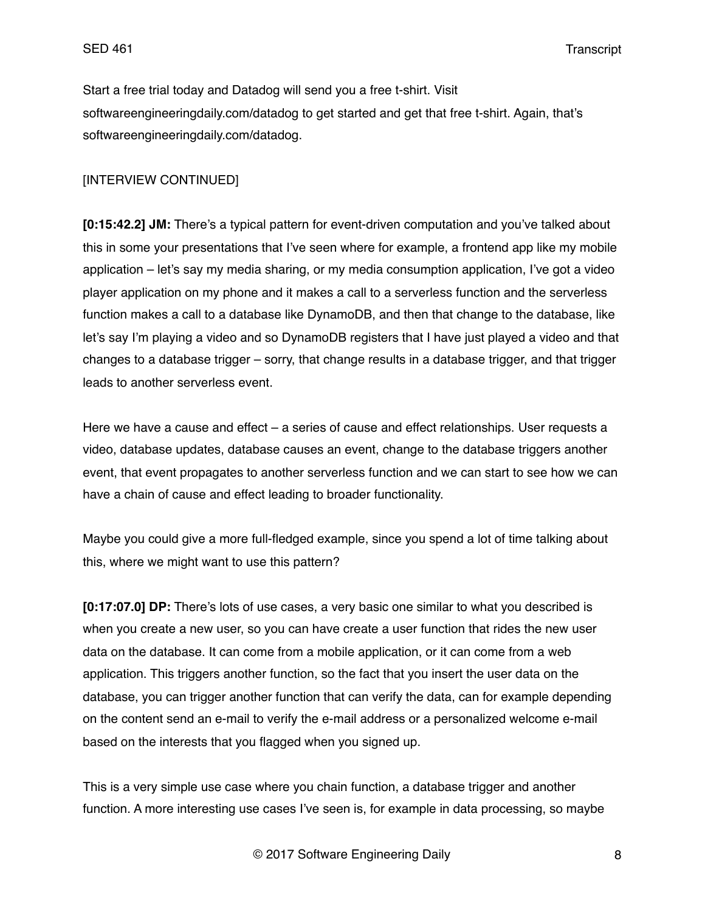Start a free trial today and Datadog will send you a free t-shirt. Visit softwareengineeringdaily.com/datadog to get started and get that free t-shirt. Again, that's softwareengineeringdaily.com/datadog.

## [INTERVIEW CONTINUED]

**[0:15:42.2] JM:** There's a typical pattern for event-driven computation and you've talked about this in some your presentations that I've seen where for example, a frontend app like my mobile application – let's say my media sharing, or my media consumption application, I've got a video player application on my phone and it makes a call to a serverless function and the serverless function makes a call to a database like DynamoDB, and then that change to the database, like let's say I'm playing a video and so DynamoDB registers that I have just played a video and that changes to a database trigger – sorry, that change results in a database trigger, and that trigger leads to another serverless event.

Here we have a cause and effect – a series of cause and effect relationships. User requests a video, database updates, database causes an event, change to the database triggers another event, that event propagates to another serverless function and we can start to see how we can have a chain of cause and effect leading to broader functionality.

Maybe you could give a more full-fledged example, since you spend a lot of time talking about this, where we might want to use this pattern?

**[0:17:07.0] DP:** There's lots of use cases, a very basic one similar to what you described is when you create a new user, so you can have create a user function that rides the new user data on the database. It can come from a mobile application, or it can come from a web application. This triggers another function, so the fact that you insert the user data on the database, you can trigger another function that can verify the data, can for example depending on the content send an e-mail to verify the e-mail address or a personalized welcome e-mail based on the interests that you flagged when you signed up.

This is a very simple use case where you chain function, a database trigger and another function. A more interesting use cases I've seen is, for example in data processing, so maybe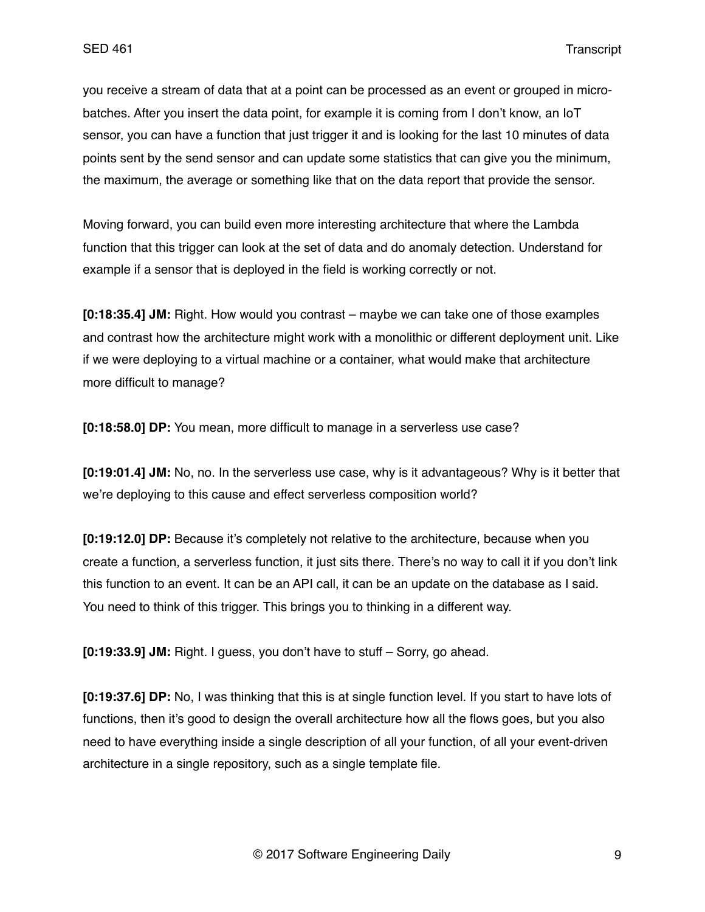you receive a stream of data that at a point can be processed as an event or grouped in microbatches. After you insert the data point, for example it is coming from I don't know, an IoT sensor, you can have a function that just trigger it and is looking for the last 10 minutes of data points sent by the send sensor and can update some statistics that can give you the minimum, the maximum, the average or something like that on the data report that provide the sensor.

Moving forward, you can build even more interesting architecture that where the Lambda function that this trigger can look at the set of data and do anomaly detection. Understand for example if a sensor that is deployed in the field is working correctly or not.

**[0:18:35.4] JM:** Right. How would you contrast – maybe we can take one of those examples and contrast how the architecture might work with a monolithic or different deployment unit. Like if we were deploying to a virtual machine or a container, what would make that architecture more difficult to manage?

**[0:18:58.0] DP:** You mean, more difficult to manage in a serverless use case?

**[0:19:01.4] JM:** No, no. In the serverless use case, why is it advantageous? Why is it better that we're deploying to this cause and effect serverless composition world?

**[0:19:12.0] DP:** Because it's completely not relative to the architecture, because when you create a function, a serverless function, it just sits there. There's no way to call it if you don't link this function to an event. It can be an API call, it can be an update on the database as I said. You need to think of this trigger. This brings you to thinking in a different way.

**[0:19:33.9] JM:** Right. I guess, you don't have to stuff – Sorry, go ahead.

**[0:19:37.6] DP:** No, I was thinking that this is at single function level. If you start to have lots of functions, then it's good to design the overall architecture how all the flows goes, but you also need to have everything inside a single description of all your function, of all your event-driven architecture in a single repository, such as a single template file.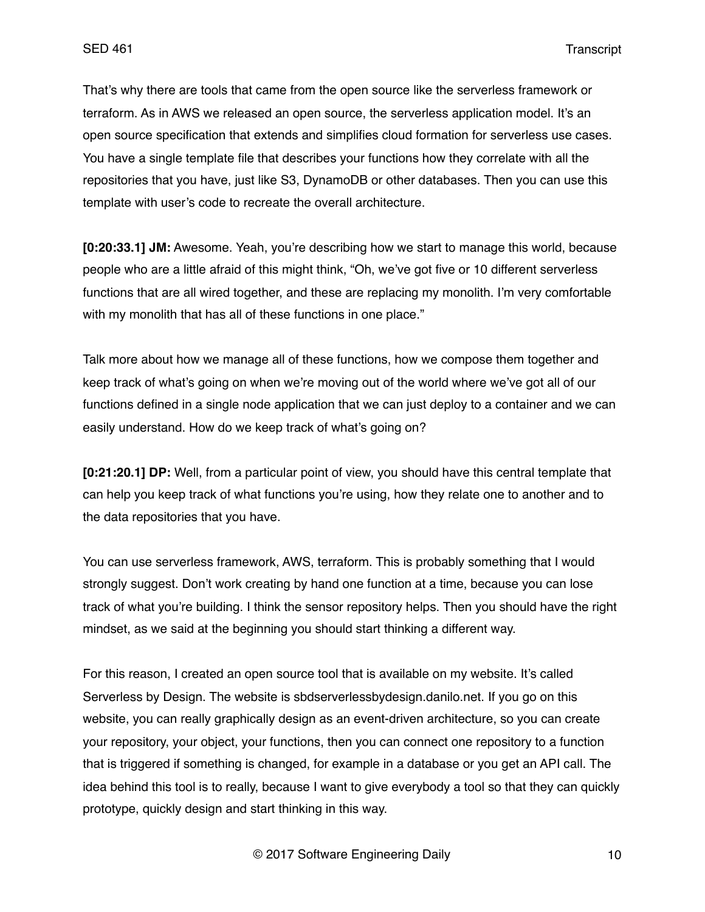That's why there are tools that came from the open source like the serverless framework or terraform. As in AWS we released an open source, the serverless application model. It's an open source specification that extends and simplifies cloud formation for serverless use cases. You have a single template file that describes your functions how they correlate with all the repositories that you have, just like S3, DynamoDB or other databases. Then you can use this template with user's code to recreate the overall architecture.

**[0:20:33.1] JM:** Awesome. Yeah, you're describing how we start to manage this world, because people who are a little afraid of this might think, "Oh, we've got five or 10 different serverless functions that are all wired together, and these are replacing my monolith. I'm very comfortable with my monolith that has all of these functions in one place."

Talk more about how we manage all of these functions, how we compose them together and keep track of what's going on when we're moving out of the world where we've got all of our functions defined in a single node application that we can just deploy to a container and we can easily understand. How do we keep track of what's going on?

**[0:21:20.1] DP:** Well, from a particular point of view, you should have this central template that can help you keep track of what functions you're using, how they relate one to another and to the data repositories that you have.

You can use serverless framework, AWS, terraform. This is probably something that I would strongly suggest. Don't work creating by hand one function at a time, because you can lose track of what you're building. I think the sensor repository helps. Then you should have the right mindset, as we said at the beginning you should start thinking a different way.

For this reason, I created an open source tool that is available on my website. It's called Serverless by Design. The website is sbdserverlessbydesign.danilo.net. If you go on this website, you can really graphically design as an event-driven architecture, so you can create your repository, your object, your functions, then you can connect one repository to a function that is triggered if something is changed, for example in a database or you get an API call. The idea behind this tool is to really, because I want to give everybody a tool so that they can quickly prototype, quickly design and start thinking in this way.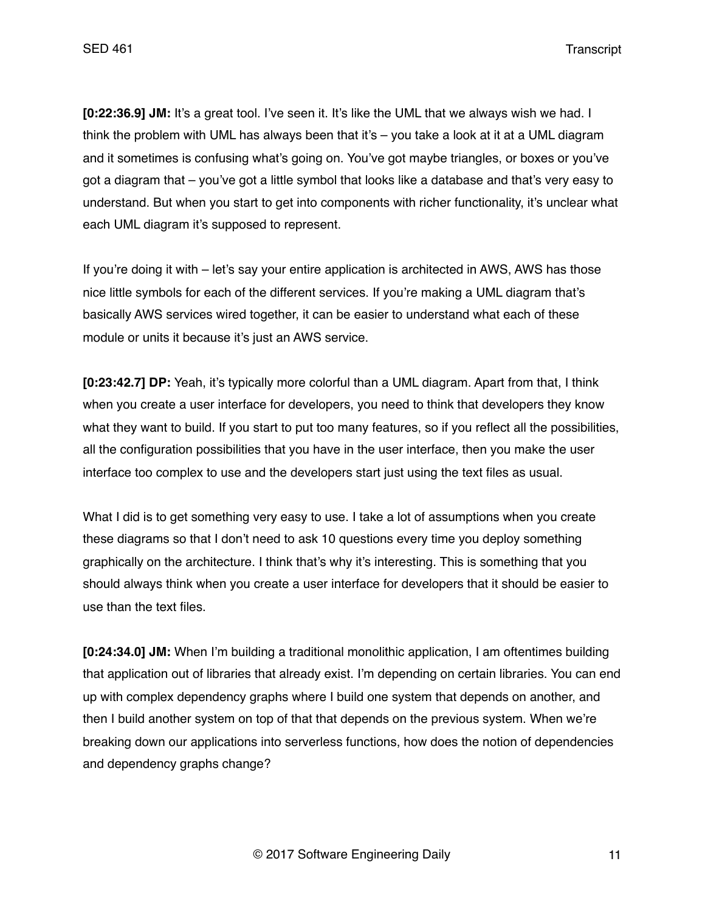**[0:22:36.9] JM:** It's a great tool. I've seen it. It's like the UML that we always wish we had. I think the problem with UML has always been that it's – you take a look at it at a UML diagram and it sometimes is confusing what's going on. You've got maybe triangles, or boxes or you've got a diagram that – you've got a little symbol that looks like a database and that's very easy to understand. But when you start to get into components with richer functionality, it's unclear what each UML diagram it's supposed to represent.

If you're doing it with – let's say your entire application is architected in AWS, AWS has those nice little symbols for each of the different services. If you're making a UML diagram that's basically AWS services wired together, it can be easier to understand what each of these module or units it because it's just an AWS service.

**[0:23:42.7] DP:** Yeah, it's typically more colorful than a UML diagram. Apart from that, I think when you create a user interface for developers, you need to think that developers they know what they want to build. If you start to put too many features, so if you reflect all the possibilities, all the configuration possibilities that you have in the user interface, then you make the user interface too complex to use and the developers start just using the text files as usual.

What I did is to get something very easy to use. I take a lot of assumptions when you create these diagrams so that I don't need to ask 10 questions every time you deploy something graphically on the architecture. I think that's why it's interesting. This is something that you should always think when you create a user interface for developers that it should be easier to use than the text files.

**[0:24:34.0] JM:** When I'm building a traditional monolithic application, I am oftentimes building that application out of libraries that already exist. I'm depending on certain libraries. You can end up with complex dependency graphs where I build one system that depends on another, and then I build another system on top of that that depends on the previous system. When we're breaking down our applications into serverless functions, how does the notion of dependencies and dependency graphs change?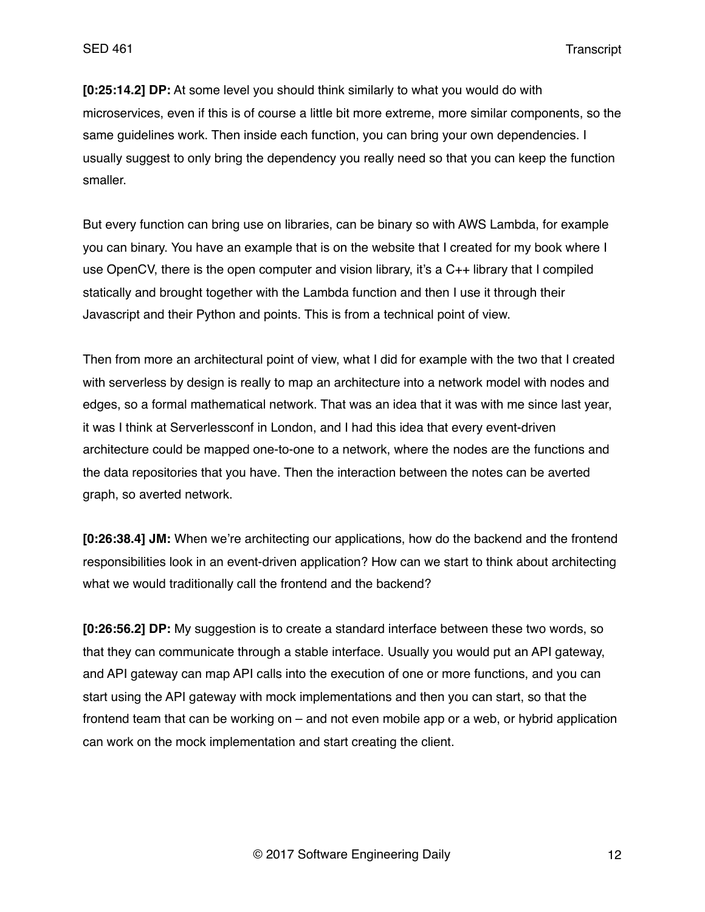**[0:25:14.2] DP:** At some level you should think similarly to what you would do with microservices, even if this is of course a little bit more extreme, more similar components, so the same guidelines work. Then inside each function, you can bring your own dependencies. I usually suggest to only bring the dependency you really need so that you can keep the function smaller.

But every function can bring use on libraries, can be binary so with AWS Lambda, for example you can binary. You have an example that is on the website that I created for my book where I use OpenCV, there is the open computer and vision library, it's a C++ library that I compiled statically and brought together with the Lambda function and then I use it through their Javascript and their Python and points. This is from a technical point of view.

Then from more an architectural point of view, what I did for example with the two that I created with serverless by design is really to map an architecture into a network model with nodes and edges, so a formal mathematical network. That was an idea that it was with me since last year, it was I think at Serverlessconf in London, and I had this idea that every event-driven architecture could be mapped one-to-one to a network, where the nodes are the functions and the data repositories that you have. Then the interaction between the notes can be averted graph, so averted network.

**[0:26:38.4] JM:** When we're architecting our applications, how do the backend and the frontend responsibilities look in an event-driven application? How can we start to think about architecting what we would traditionally call the frontend and the backend?

**[0:26:56.2] DP:** My suggestion is to create a standard interface between these two words, so that they can communicate through a stable interface. Usually you would put an API gateway, and API gateway can map API calls into the execution of one or more functions, and you can start using the API gateway with mock implementations and then you can start, so that the frontend team that can be working on – and not even mobile app or a web, or hybrid application can work on the mock implementation and start creating the client.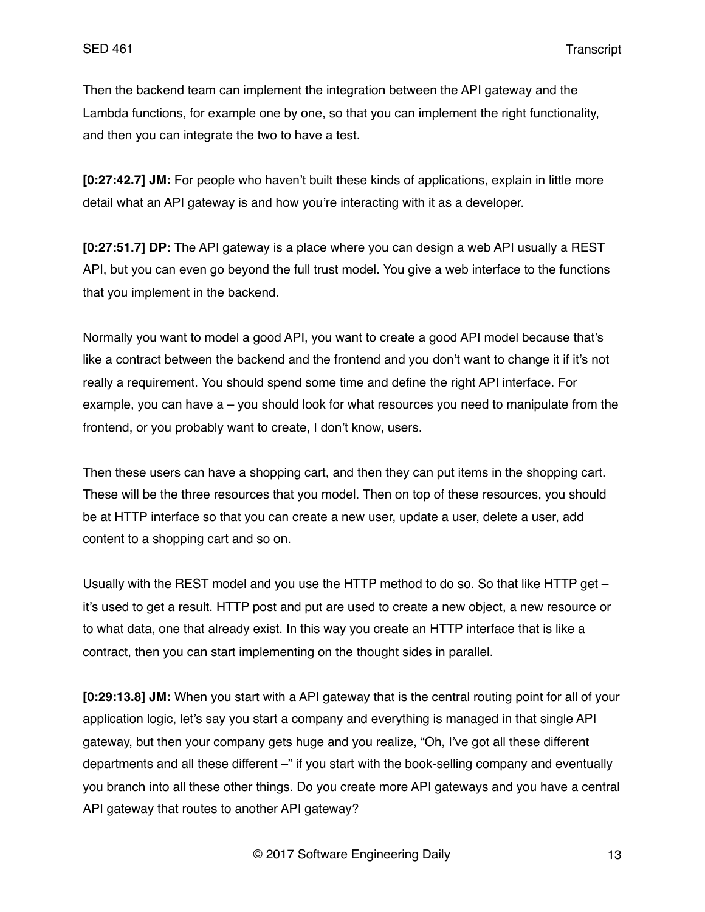Then the backend team can implement the integration between the API gateway and the Lambda functions, for example one by one, so that you can implement the right functionality, and then you can integrate the two to have a test.

**[0:27:42.7] JM:** For people who haven't built these kinds of applications, explain in little more detail what an API gateway is and how you're interacting with it as a developer.

**[0:27:51.7] DP:** The API gateway is a place where you can design a web API usually a REST API, but you can even go beyond the full trust model. You give a web interface to the functions that you implement in the backend.

Normally you want to model a good API, you want to create a good API model because that's like a contract between the backend and the frontend and you don't want to change it if it's not really a requirement. You should spend some time and define the right API interface. For example, you can have a – you should look for what resources you need to manipulate from the frontend, or you probably want to create, I don't know, users.

Then these users can have a shopping cart, and then they can put items in the shopping cart. These will be the three resources that you model. Then on top of these resources, you should be at HTTP interface so that you can create a new user, update a user, delete a user, add content to a shopping cart and so on.

Usually with the REST model and you use the HTTP method to do so. So that like HTTP get – it's used to get a result. HTTP post and put are used to create a new object, a new resource or to what data, one that already exist. In this way you create an HTTP interface that is like a contract, then you can start implementing on the thought sides in parallel.

**[0:29:13.8] JM:** When you start with a API gateway that is the central routing point for all of your application logic, let's say you start a company and everything is managed in that single API gateway, but then your company gets huge and you realize, "Oh, I've got all these different departments and all these different –" if you start with the book-selling company and eventually you branch into all these other things. Do you create more API gateways and you have a central API gateway that routes to another API gateway?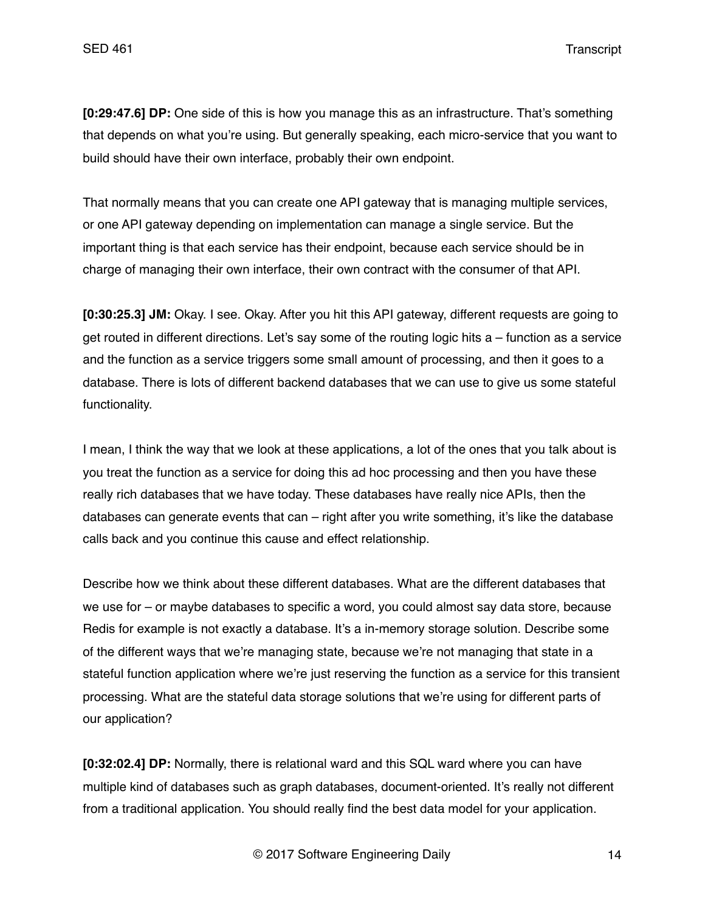**[0:29:47.6] DP:** One side of this is how you manage this as an infrastructure. That's something that depends on what you're using. But generally speaking, each micro-service that you want to build should have their own interface, probably their own endpoint.

That normally means that you can create one API gateway that is managing multiple services, or one API gateway depending on implementation can manage a single service. But the important thing is that each service has their endpoint, because each service should be in charge of managing their own interface, their own contract with the consumer of that API.

**[0:30:25.3] JM:** Okay. I see. Okay. After you hit this API gateway, different requests are going to get routed in different directions. Let's say some of the routing logic hits a – function as a service and the function as a service triggers some small amount of processing, and then it goes to a database. There is lots of different backend databases that we can use to give us some stateful functionality.

I mean, I think the way that we look at these applications, a lot of the ones that you talk about is you treat the function as a service for doing this ad hoc processing and then you have these really rich databases that we have today. These databases have really nice APIs, then the databases can generate events that can  $-$  right after you write something, it's like the database calls back and you continue this cause and effect relationship.

Describe how we think about these different databases. What are the different databases that we use for – or maybe databases to specific a word, you could almost say data store, because Redis for example is not exactly a database. It's a in-memory storage solution. Describe some of the different ways that we're managing state, because we're not managing that state in a stateful function application where we're just reserving the function as a service for this transient processing. What are the stateful data storage solutions that we're using for different parts of our application?

**[0:32:02.4] DP:** Normally, there is relational ward and this SQL ward where you can have multiple kind of databases such as graph databases, document-oriented. It's really not different from a traditional application. You should really find the best data model for your application.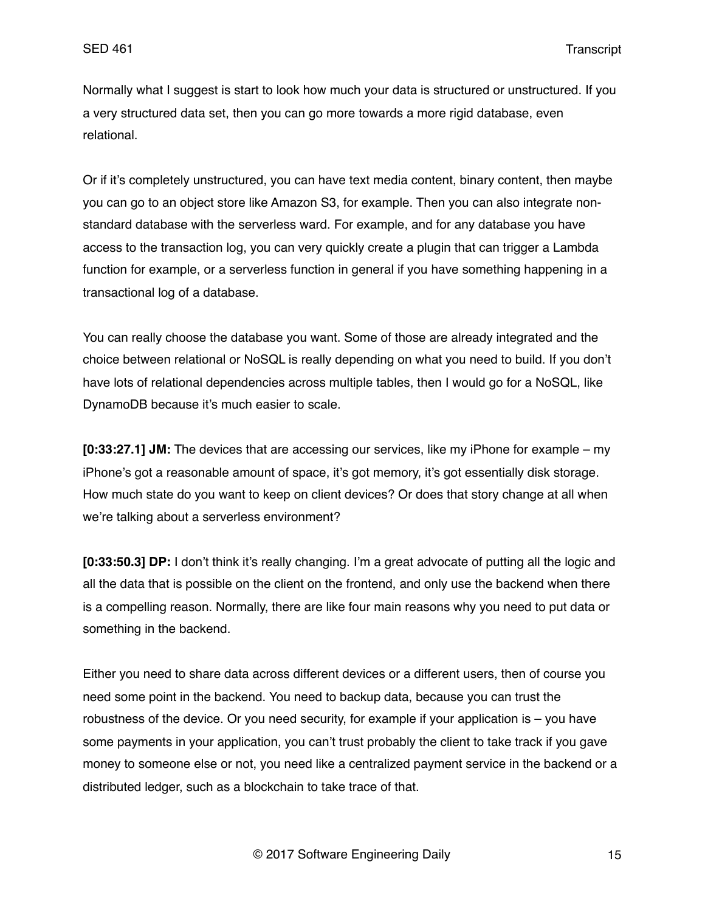Normally what I suggest is start to look how much your data is structured or unstructured. If you a very structured data set, then you can go more towards a more rigid database, even relational.

Or if it's completely unstructured, you can have text media content, binary content, then maybe you can go to an object store like Amazon S3, for example. Then you can also integrate nonstandard database with the serverless ward. For example, and for any database you have access to the transaction log, you can very quickly create a plugin that can trigger a Lambda function for example, or a serverless function in general if you have something happening in a transactional log of a database.

You can really choose the database you want. Some of those are already integrated and the choice between relational or NoSQL is really depending on what you need to build. If you don't have lots of relational dependencies across multiple tables, then I would go for a NoSQL, like DynamoDB because it's much easier to scale.

**[0:33:27.1] JM:** The devices that are accessing our services, like my iPhone for example – my iPhone's got a reasonable amount of space, it's got memory, it's got essentially disk storage. How much state do you want to keep on client devices? Or does that story change at all when we're talking about a serverless environment?

**[0:33:50.3] DP:** I don't think it's really changing. I'm a great advocate of putting all the logic and all the data that is possible on the client on the frontend, and only use the backend when there is a compelling reason. Normally, there are like four main reasons why you need to put data or something in the backend.

Either you need to share data across different devices or a different users, then of course you need some point in the backend. You need to backup data, because you can trust the robustness of the device. Or you need security, for example if your application is – you have some payments in your application, you can't trust probably the client to take track if you gave money to someone else or not, you need like a centralized payment service in the backend or a distributed ledger, such as a blockchain to take trace of that.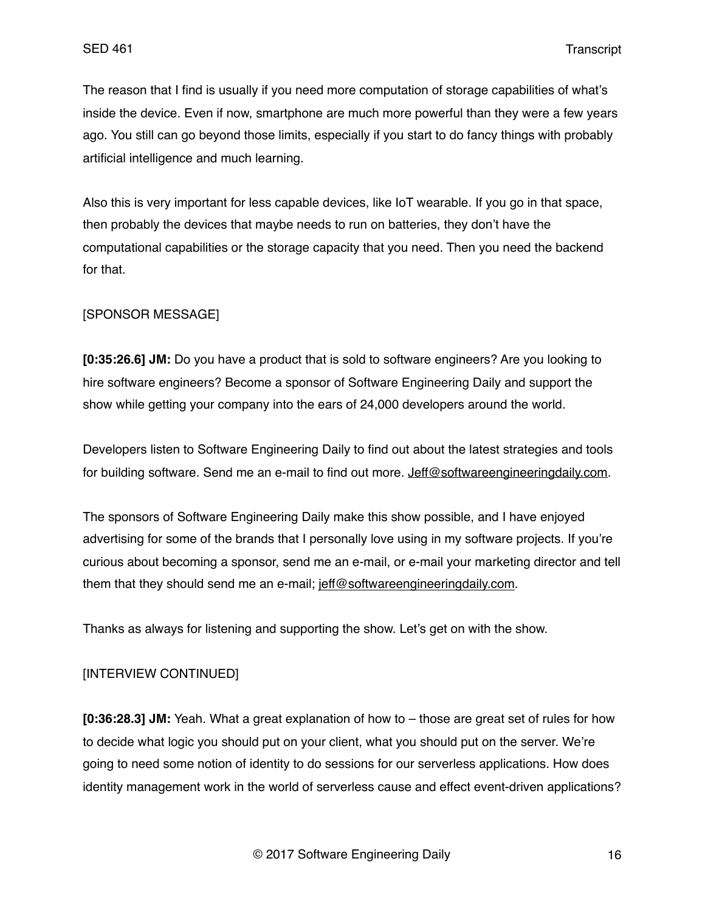The reason that I find is usually if you need more computation of storage capabilities of what's inside the device. Even if now, smartphone are much more powerful than they were a few years ago. You still can go beyond those limits, especially if you start to do fancy things with probably artificial intelligence and much learning.

Also this is very important for less capable devices, like IoT wearable. If you go in that space, then probably the devices that maybe needs to run on batteries, they don't have the computational capabilities or the storage capacity that you need. Then you need the backend for that.

## [SPONSOR MESSAGE]

**[0:35:26.6] JM:** Do you have a product that is sold to software engineers? Are you looking to hire software engineers? Become a sponsor of Software Engineering Daily and support the show while getting your company into the ears of 24,000 developers around the world.

Developers listen to Software Engineering Daily to find out about the latest strategies and tools for building software. Send me an e-mail to find out more. [Jeff@softwareengineeringdaily.com.](mailto:Jeff@softwareengineeringdaily.com)

The sponsors of Software Engineering Daily make this show possible, and I have enjoyed advertising for some of the brands that I personally love using in my software projects. If you're curious about becoming a sponsor, send me an e-mail, or e-mail your marketing director and tell them that they should send me an e-mail; [jeff@softwareengineeringdaily.com](mailto:jeff@softwareengineeringdaily.com).

Thanks as always for listening and supporting the show. Let's get on with the show.

# [INTERVIEW CONTINUED]

**[0:36:28.3] JM:** Yeah. What a great explanation of how to – those are great set of rules for how to decide what logic you should put on your client, what you should put on the server. We're going to need some notion of identity to do sessions for our serverless applications. How does identity management work in the world of serverless cause and effect event-driven applications?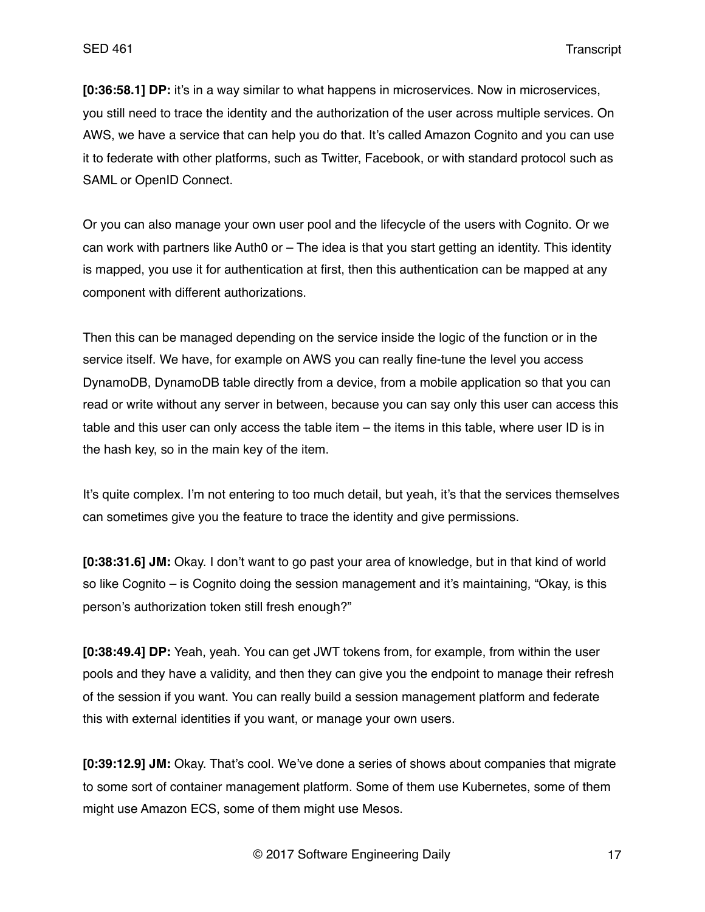**[0:36:58.1] DP:** it's in a way similar to what happens in microservices. Now in microservices, you still need to trace the identity and the authorization of the user across multiple services. On AWS, we have a service that can help you do that. It's called Amazon Cognito and you can use it to federate with other platforms, such as Twitter, Facebook, or with standard protocol such as SAML or OpenID Connect.

Or you can also manage your own user pool and the lifecycle of the users with Cognito. Or we can work with partners like Auth0 or – The idea is that you start getting an identity. This identity is mapped, you use it for authentication at first, then this authentication can be mapped at any component with different authorizations.

Then this can be managed depending on the service inside the logic of the function or in the service itself. We have, for example on AWS you can really fine-tune the level you access DynamoDB, DynamoDB table directly from a device, from a mobile application so that you can read or write without any server in between, because you can say only this user can access this table and this user can only access the table item – the items in this table, where user ID is in the hash key, so in the main key of the item.

It's quite complex. I'm not entering to too much detail, but yeah, it's that the services themselves can sometimes give you the feature to trace the identity and give permissions.

**[0:38:31.6] JM:** Okay. I don't want to go past your area of knowledge, but in that kind of world so like Cognito – is Cognito doing the session management and it's maintaining, "Okay, is this person's authorization token still fresh enough?"

**[0:38:49.4] DP:** Yeah, yeah. You can get JWT tokens from, for example, from within the user pools and they have a validity, and then they can give you the endpoint to manage their refresh of the session if you want. You can really build a session management platform and federate this with external identities if you want, or manage your own users.

**[0:39:12.9] JM:** Okay. That's cool. We've done a series of shows about companies that migrate to some sort of container management platform. Some of them use Kubernetes, some of them might use Amazon ECS, some of them might use Mesos.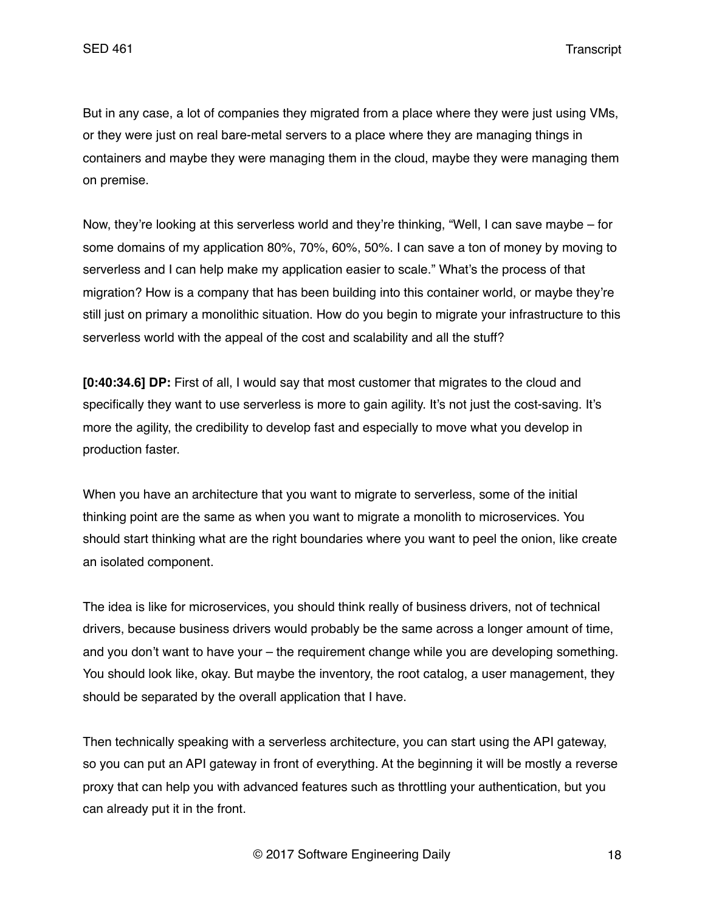But in any case, a lot of companies they migrated from a place where they were just using VMs, or they were just on real bare-metal servers to a place where they are managing things in containers and maybe they were managing them in the cloud, maybe they were managing them on premise.

Now, they're looking at this serverless world and they're thinking, "Well, I can save maybe – for some domains of my application 80%, 70%, 60%, 50%. I can save a ton of money by moving to serverless and I can help make my application easier to scale." What's the process of that migration? How is a company that has been building into this container world, or maybe they're still just on primary a monolithic situation. How do you begin to migrate your infrastructure to this serverless world with the appeal of the cost and scalability and all the stuff?

**[0:40:34.6] DP:** First of all, I would say that most customer that migrates to the cloud and specifically they want to use serverless is more to gain agility. It's not just the cost-saving. It's more the agility, the credibility to develop fast and especially to move what you develop in production faster.

When you have an architecture that you want to migrate to serverless, some of the initial thinking point are the same as when you want to migrate a monolith to microservices. You should start thinking what are the right boundaries where you want to peel the onion, like create an isolated component.

The idea is like for microservices, you should think really of business drivers, not of technical drivers, because business drivers would probably be the same across a longer amount of time, and you don't want to have your – the requirement change while you are developing something. You should look like, okay. But maybe the inventory, the root catalog, a user management, they should be separated by the overall application that I have.

Then technically speaking with a serverless architecture, you can start using the API gateway, so you can put an API gateway in front of everything. At the beginning it will be mostly a reverse proxy that can help you with advanced features such as throttling your authentication, but you can already put it in the front.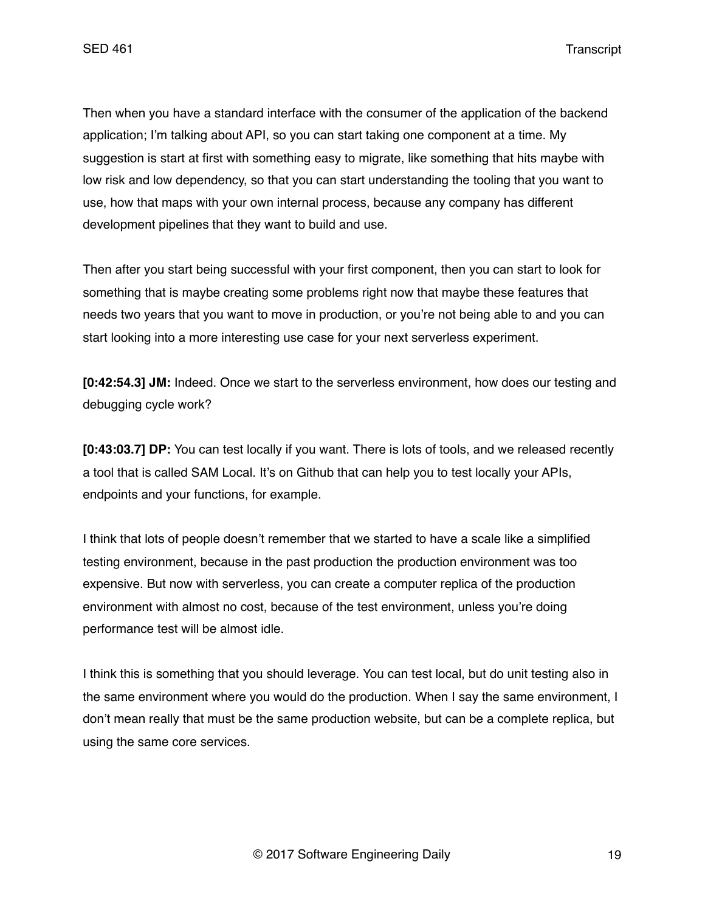Then when you have a standard interface with the consumer of the application of the backend application; I'm talking about API, so you can start taking one component at a time. My suggestion is start at first with something easy to migrate, like something that hits maybe with low risk and low dependency, so that you can start understanding the tooling that you want to use, how that maps with your own internal process, because any company has different development pipelines that they want to build and use.

Then after you start being successful with your first component, then you can start to look for something that is maybe creating some problems right now that maybe these features that needs two years that you want to move in production, or you're not being able to and you can start looking into a more interesting use case for your next serverless experiment.

**[0:42:54.3] JM:** Indeed. Once we start to the serverless environment, how does our testing and debugging cycle work?

**[0:43:03.7] DP:** You can test locally if you want. There is lots of tools, and we released recently a tool that is called SAM Local. It's on Github that can help you to test locally your APIs, endpoints and your functions, for example.

I think that lots of people doesn't remember that we started to have a scale like a simplified testing environment, because in the past production the production environment was too expensive. But now with serverless, you can create a computer replica of the production environment with almost no cost, because of the test environment, unless you're doing performance test will be almost idle.

I think this is something that you should leverage. You can test local, but do unit testing also in the same environment where you would do the production. When I say the same environment, I don't mean really that must be the same production website, but can be a complete replica, but using the same core services.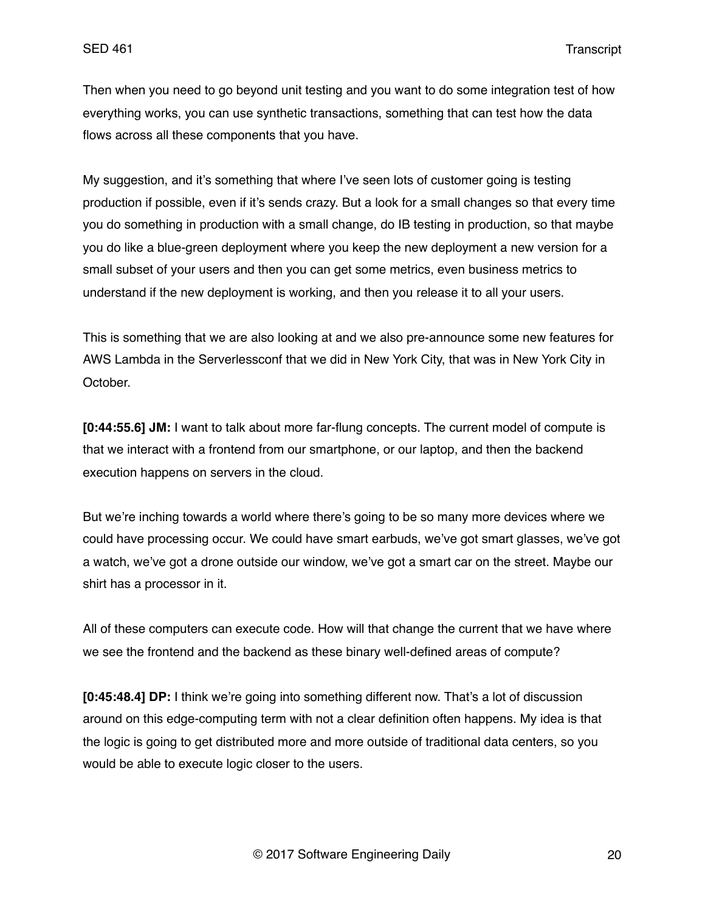Then when you need to go beyond unit testing and you want to do some integration test of how everything works, you can use synthetic transactions, something that can test how the data flows across all these components that you have.

My suggestion, and it's something that where I've seen lots of customer going is testing production if possible, even if it's sends crazy. But a look for a small changes so that every time you do something in production with a small change, do IB testing in production, so that maybe you do like a blue-green deployment where you keep the new deployment a new version for a small subset of your users and then you can get some metrics, even business metrics to understand if the new deployment is working, and then you release it to all your users.

This is something that we are also looking at and we also pre-announce some new features for AWS Lambda in the Serverlessconf that we did in New York City, that was in New York City in October.

**[0:44:55.6] JM:** I want to talk about more far-flung concepts. The current model of compute is that we interact with a frontend from our smartphone, or our laptop, and then the backend execution happens on servers in the cloud.

But we're inching towards a world where there's going to be so many more devices where we could have processing occur. We could have smart earbuds, we've got smart glasses, we've got a watch, we've got a drone outside our window, we've got a smart car on the street. Maybe our shirt has a processor in it.

All of these computers can execute code. How will that change the current that we have where we see the frontend and the backend as these binary well-defined areas of compute?

**[0:45:48.4] DP:** I think we're going into something different now. That's a lot of discussion around on this edge-computing term with not a clear definition often happens. My idea is that the logic is going to get distributed more and more outside of traditional data centers, so you would be able to execute logic closer to the users.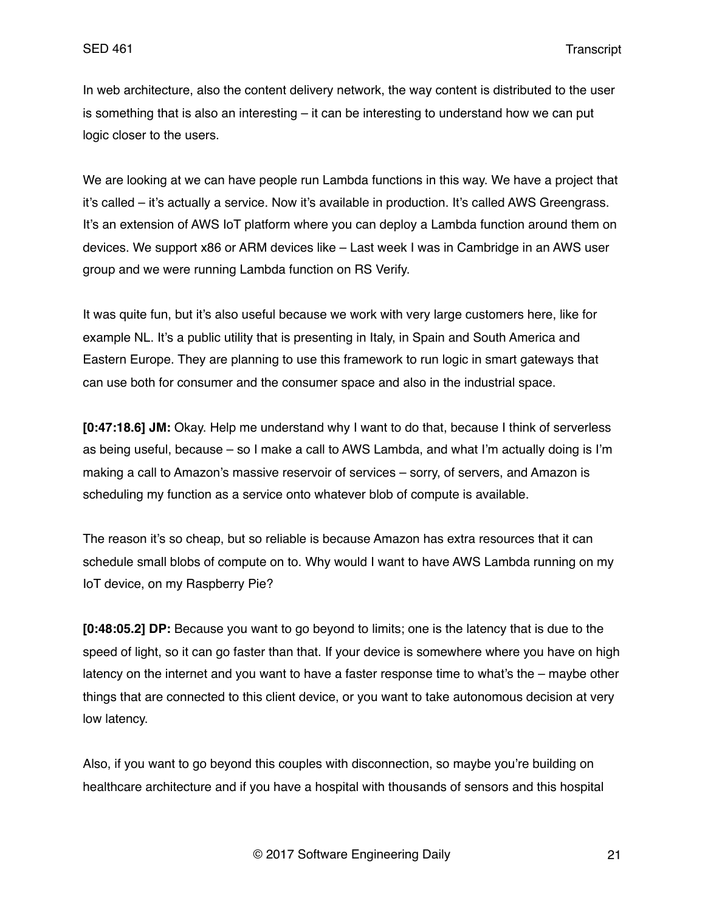In web architecture, also the content delivery network, the way content is distributed to the user is something that is also an interesting – it can be interesting to understand how we can put logic closer to the users.

We are looking at we can have people run Lambda functions in this way. We have a project that it's called – it's actually a service. Now it's available in production. It's called AWS Greengrass. It's an extension of AWS IoT platform where you can deploy a Lambda function around them on devices. We support x86 or ARM devices like – Last week I was in Cambridge in an AWS user group and we were running Lambda function on RS Verify.

It was quite fun, but it's also useful because we work with very large customers here, like for example NL. It's a public utility that is presenting in Italy, in Spain and South America and Eastern Europe. They are planning to use this framework to run logic in smart gateways that can use both for consumer and the consumer space and also in the industrial space.

**[0:47:18.6] JM:** Okay. Help me understand why I want to do that, because I think of serverless as being useful, because – so I make a call to AWS Lambda, and what I'm actually doing is I'm making a call to Amazon's massive reservoir of services – sorry, of servers, and Amazon is scheduling my function as a service onto whatever blob of compute is available.

The reason it's so cheap, but so reliable is because Amazon has extra resources that it can schedule small blobs of compute on to. Why would I want to have AWS Lambda running on my IoT device, on my Raspberry Pie?

**[0:48:05.2] DP:** Because you want to go beyond to limits; one is the latency that is due to the speed of light, so it can go faster than that. If your device is somewhere where you have on high latency on the internet and you want to have a faster response time to what's the – maybe other things that are connected to this client device, or you want to take autonomous decision at very low latency.

Also, if you want to go beyond this couples with disconnection, so maybe you're building on healthcare architecture and if you have a hospital with thousands of sensors and this hospital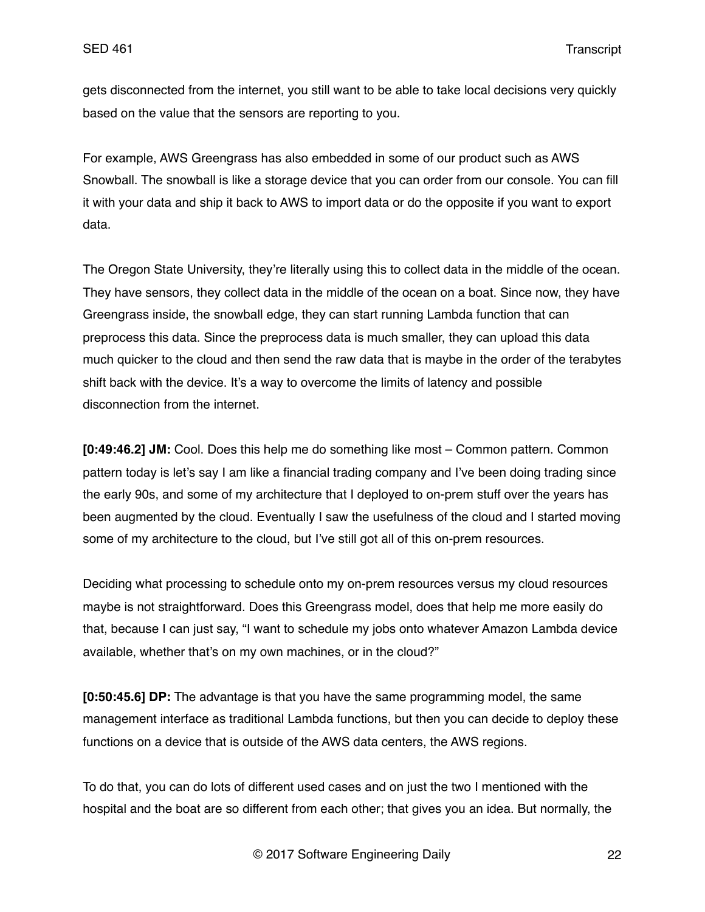gets disconnected from the internet, you still want to be able to take local decisions very quickly based on the value that the sensors are reporting to you.

For example, AWS Greengrass has also embedded in some of our product such as AWS Snowball. The snowball is like a storage device that you can order from our console. You can fill it with your data and ship it back to AWS to import data or do the opposite if you want to export data.

The Oregon State University, they're literally using this to collect data in the middle of the ocean. They have sensors, they collect data in the middle of the ocean on a boat. Since now, they have Greengrass inside, the snowball edge, they can start running Lambda function that can preprocess this data. Since the preprocess data is much smaller, they can upload this data much quicker to the cloud and then send the raw data that is maybe in the order of the terabytes shift back with the device. It's a way to overcome the limits of latency and possible disconnection from the internet.

**[0:49:46.2] JM:** Cool. Does this help me do something like most – Common pattern. Common pattern today is let's say I am like a financial trading company and I've been doing trading since the early 90s, and some of my architecture that I deployed to on-prem stuff over the years has been augmented by the cloud. Eventually I saw the usefulness of the cloud and I started moving some of my architecture to the cloud, but I've still got all of this on-prem resources.

Deciding what processing to schedule onto my on-prem resources versus my cloud resources maybe is not straightforward. Does this Greengrass model, does that help me more easily do that, because I can just say, "I want to schedule my jobs onto whatever Amazon Lambda device available, whether that's on my own machines, or in the cloud?"

**[0:50:45.6] DP:** The advantage is that you have the same programming model, the same management interface as traditional Lambda functions, but then you can decide to deploy these functions on a device that is outside of the AWS data centers, the AWS regions.

To do that, you can do lots of different used cases and on just the two I mentioned with the hospital and the boat are so different from each other; that gives you an idea. But normally, the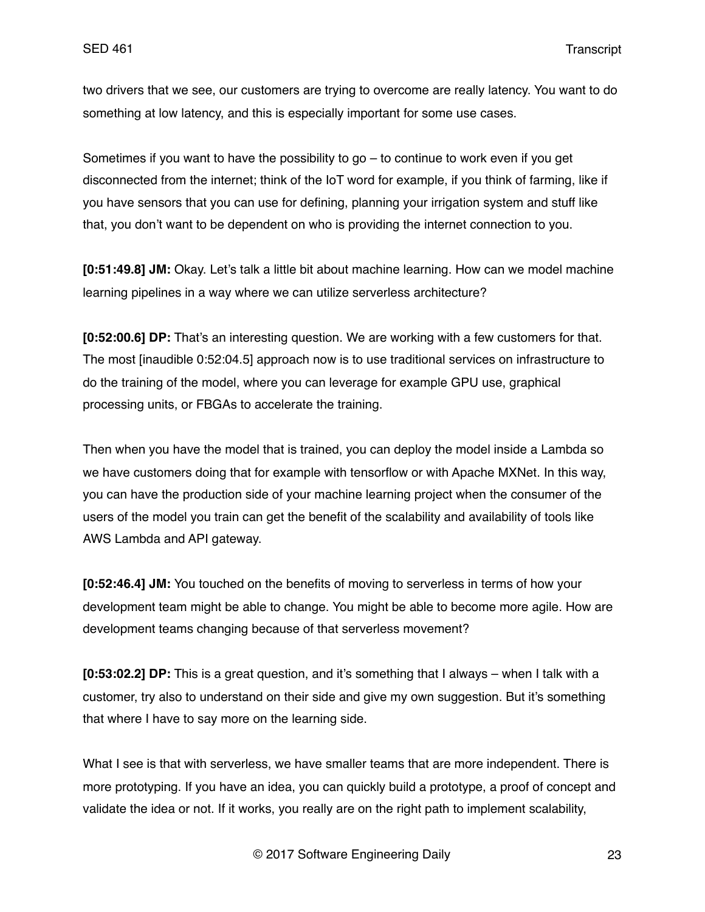two drivers that we see, our customers are trying to overcome are really latency. You want to do something at low latency, and this is especially important for some use cases.

Sometimes if you want to have the possibility to go – to continue to work even if you get disconnected from the internet; think of the IoT word for example, if you think of farming, like if you have sensors that you can use for defining, planning your irrigation system and stuff like that, you don't want to be dependent on who is providing the internet connection to you.

**[0:51:49.8] JM:** Okay. Let's talk a little bit about machine learning. How can we model machine learning pipelines in a way where we can utilize serverless architecture?

**[0:52:00.6] DP:** That's an interesting question. We are working with a few customers for that. The most [inaudible 0:52:04.5] approach now is to use traditional services on infrastructure to do the training of the model, where you can leverage for example GPU use, graphical processing units, or FBGAs to accelerate the training.

Then when you have the model that is trained, you can deploy the model inside a Lambda so we have customers doing that for example with tensorflow or with Apache MXNet. In this way, you can have the production side of your machine learning project when the consumer of the users of the model you train can get the benefit of the scalability and availability of tools like AWS Lambda and API gateway.

**[0:52:46.4] JM:** You touched on the benefits of moving to serverless in terms of how your development team might be able to change. You might be able to become more agile. How are development teams changing because of that serverless movement?

**[0:53:02.2] DP:** This is a great question, and it's something that I always – when I talk with a customer, try also to understand on their side and give my own suggestion. But it's something that where I have to say more on the learning side.

What I see is that with serverless, we have smaller teams that are more independent. There is more prototyping. If you have an idea, you can quickly build a prototype, a proof of concept and validate the idea or not. If it works, you really are on the right path to implement scalability,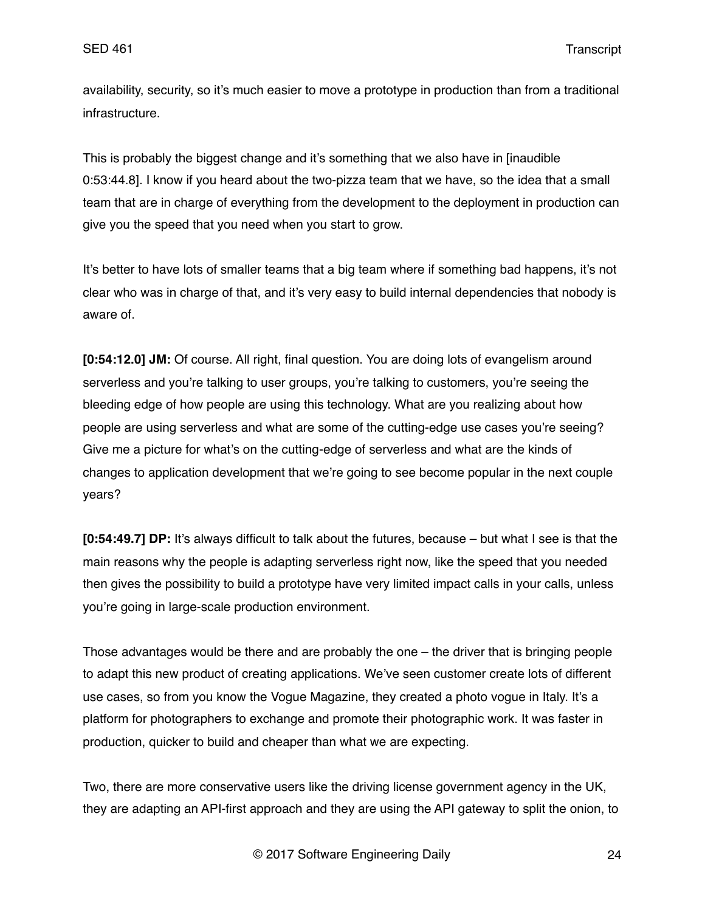availability, security, so it's much easier to move a prototype in production than from a traditional infrastructure.

This is probably the biggest change and it's something that we also have in [inaudible 0:53:44.8]. I know if you heard about the two-pizza team that we have, so the idea that a small team that are in charge of everything from the development to the deployment in production can give you the speed that you need when you start to grow.

It's better to have lots of smaller teams that a big team where if something bad happens, it's not clear who was in charge of that, and it's very easy to build internal dependencies that nobody is aware of.

**[0:54:12.0] JM:** Of course. All right, final question. You are doing lots of evangelism around serverless and you're talking to user groups, you're talking to customers, you're seeing the bleeding edge of how people are using this technology. What are you realizing about how people are using serverless and what are some of the cutting-edge use cases you're seeing? Give me a picture for what's on the cutting-edge of serverless and what are the kinds of changes to application development that we're going to see become popular in the next couple years?

**[0:54:49.7] DP:** It's always difficult to talk about the futures, because – but what I see is that the main reasons why the people is adapting serverless right now, like the speed that you needed then gives the possibility to build a prototype have very limited impact calls in your calls, unless you're going in large-scale production environment.

Those advantages would be there and are probably the one – the driver that is bringing people to adapt this new product of creating applications. We've seen customer create lots of different use cases, so from you know the Vogue Magazine, they created a photo vogue in Italy. It's a platform for photographers to exchange and promote their photographic work. It was faster in production, quicker to build and cheaper than what we are expecting.

Two, there are more conservative users like the driving license government agency in the UK, they are adapting an API-first approach and they are using the API gateway to split the onion, to